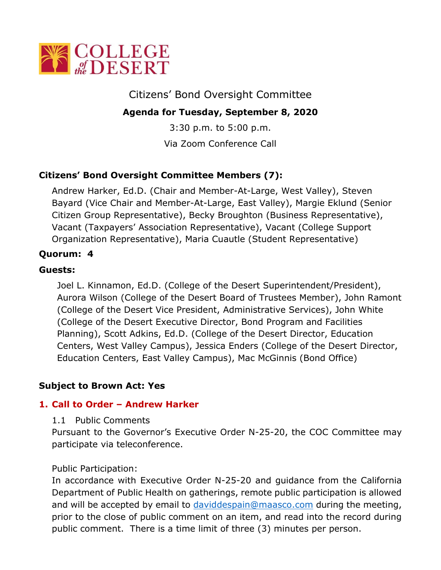

# Citizens' Bond Oversight Committee

## **Agenda for Tuesday, September 8, 2020**

3:30 p.m. to 5:00 p.m. Via Zoom Conference Call

## **Citizens' Bond Oversight Committee Members (7):**

Andrew Harker, Ed.D. (Chair and Member-At-Large, West Valley), Steven Bayard (Vice Chair and Member-At-Large, East Valley), Margie Eklund (Senior Citizen Group Representative), Becky Broughton (Business Representative), Vacant (Taxpayers' Association Representative), Vacant (College Support Organization Representative), Maria Cuautle (Student Representative)

### **Quorum: 4**

### **Guests:**

Joel L. Kinnamon, Ed.D. (College of the Desert Superintendent/President), Aurora Wilson (College of the Desert Board of Trustees Member), John Ramont (College of the Desert Vice President, Administrative Services), John White (College of the Desert Executive Director, Bond Program and Facilities Planning), Scott Adkins, Ed.D. (College of the Desert Director, Education Centers, West Valley Campus), Jessica Enders (College of the Desert Director, Education Centers, East Valley Campus), Mac McGinnis (Bond Office)

### **Subject to Brown Act: Yes**

### **1. Call to Order – Andrew Harker**

#### 1.1 Public Comments

Pursuant to the Governor's Executive Order N-25-20, the COC Committee may participate via teleconference.

#### Public Participation:

In accordance with Executive Order N-25-20 and guidance from the California Department of Public Health on gatherings, remote public participation is allowed and will be accepted by email to [daviddespain@maasco.com](mailto:daviddespain@maasco.com) during the meeting, prior to the close of public comment on an item, and read into the record during public comment. There is a time limit of three (3) minutes per person.